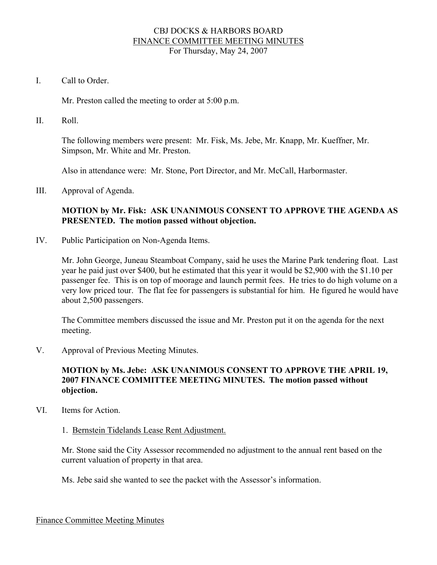### CBJ DOCKS & HARBORS BOARD FINANCE COMMITTEE MEETING MINUTES For Thursday, May 24, 2007

I. Call to Order.

Mr. Preston called the meeting to order at 5:00 p.m.

II. Roll.

The following members were present: Mr. Fisk, Ms. Jebe, Mr. Knapp, Mr. Kueffner, Mr. Simpson, Mr. White and Mr. Preston.

Also in attendance were: Mr. Stone, Port Director, and Mr. McCall, Harbormaster.

III. Approval of Agenda.

# **MOTION by Mr. Fisk: ASK UNANIMOUS CONSENT TO APPROVE THE AGENDA AS PRESENTED. The motion passed without objection.**

IV. Public Participation on Non-Agenda Items.

Mr. John George, Juneau Steamboat Company, said he uses the Marine Park tendering float. Last year he paid just over \$400, but he estimated that this year it would be \$2,900 with the \$1.10 per passenger fee. This is on top of moorage and launch permit fees. He tries to do high volume on a very low priced tour. The flat fee for passengers is substantial for him. He figured he would have about 2,500 passengers.

The Committee members discussed the issue and Mr. Preston put it on the agenda for the next meeting.

V. Approval of Previous Meeting Minutes.

# **MOTION by Ms. Jebe: ASK UNANIMOUS CONSENT TO APPROVE THE APRIL 19, 2007 FINANCE COMMITTEE MEETING MINUTES. The motion passed without objection.**

VI. Items for Action.

#### 1. Bernstein Tidelands Lease Rent Adjustment.

Mr. Stone said the City Assessor recommended no adjustment to the annual rent based on the current valuation of property in that area.

Ms. Jebe said she wanted to see the packet with the Assessor's information.

Finance Committee Meeting Minutes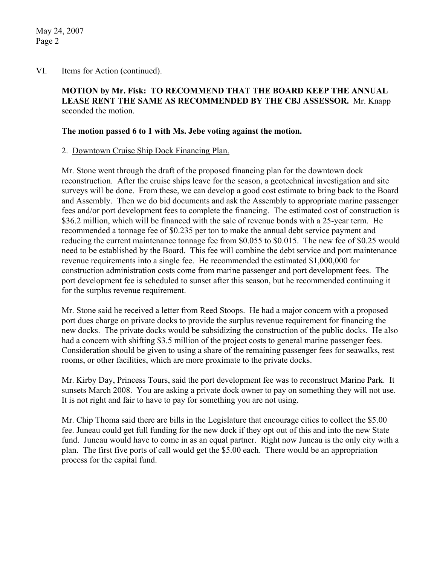### VI. Items for Action (continued).

# **MOTION by Mr. Fisk: TO RECOMMEND THAT THE BOARD KEEP THE ANNUAL LEASE RENT THE SAME AS RECOMMENDED BY THE CBJ ASSESSOR.** Mr. Knapp seconded the motion.

### **The motion passed 6 to 1 with Ms. Jebe voting against the motion.**

### 2. Downtown Cruise Ship Dock Financing Plan.

Mr. Stone went through the draft of the proposed financing plan for the downtown dock reconstruction. After the cruise ships leave for the season, a geotechnical investigation and site surveys will be done. From these, we can develop a good cost estimate to bring back to the Board and Assembly. Then we do bid documents and ask the Assembly to appropriate marine passenger fees and/or port development fees to complete the financing. The estimated cost of construction is \$36.2 million, which will be financed with the sale of revenue bonds with a 25-year term. He recommended a tonnage fee of \$0.235 per ton to make the annual debt service payment and reducing the current maintenance tonnage fee from \$0.055 to \$0.015. The new fee of \$0.25 would need to be established by the Board. This fee will combine the debt service and port maintenance revenue requirements into a single fee. He recommended the estimated \$1,000,000 for construction administration costs come from marine passenger and port development fees. The port development fee is scheduled to sunset after this season, but he recommended continuing it for the surplus revenue requirement.

Mr. Stone said he received a letter from Reed Stoops. He had a major concern with a proposed port dues charge on private docks to provide the surplus revenue requirement for financing the new docks. The private docks would be subsidizing the construction of the public docks. He also had a concern with shifting \$3.5 million of the project costs to general marine passenger fees. Consideration should be given to using a share of the remaining passenger fees for seawalks, rest rooms, or other facilities, which are more proximate to the private docks.

Mr. Kirby Day, Princess Tours, said the port development fee was to reconstruct Marine Park. It sunsets March 2008. You are asking a private dock owner to pay on something they will not use. It is not right and fair to have to pay for something you are not using.

Mr. Chip Thoma said there are bills in the Legislature that encourage cities to collect the \$5.00 fee. Juneau could get full funding for the new dock if they opt out of this and into the new State fund. Juneau would have to come in as an equal partner. Right now Juneau is the only city with a plan. The first five ports of call would get the \$5.00 each. There would be an appropriation process for the capital fund.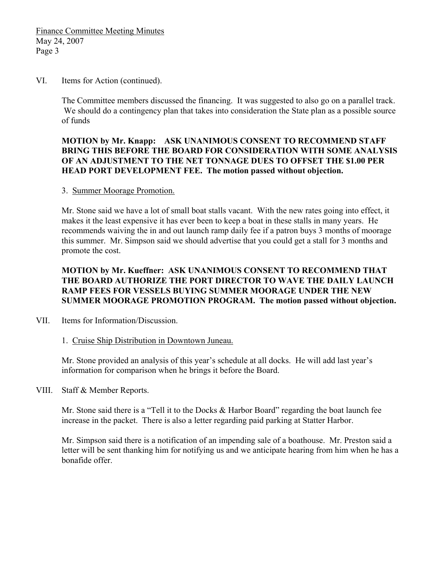#### VI. Items for Action (continued).

The Committee members discussed the financing. It was suggested to also go on a parallel track. We should do a contingency plan that takes into consideration the State plan as a possible source of funds

### **MOTION by Mr. Knapp: ASK UNANIMOUS CONSENT TO RECOMMEND STAFF BRING THIS BEFORE THE BOARD FOR CONSIDERATION WITH SOME ANALYSIS OF AN ADJUSTMENT TO THE NET TONNAGE DUES TO OFFSET THE \$1.00 PER HEAD PORT DEVELOPMENT FEE. The motion passed without objection.**

#### 3. Summer Moorage Promotion.

Mr. Stone said we have a lot of small boat stalls vacant. With the new rates going into effect, it makes it the least expensive it has ever been to keep a boat in these stalls in many years. He recommends waiving the in and out launch ramp daily fee if a patron buys 3 months of moorage this summer. Mr. Simpson said we should advertise that you could get a stall for 3 months and promote the cost.

# **MOTION by Mr. Kueffner: ASK UNANIMOUS CONSENT TO RECOMMEND THAT THE BOARD AUTHORIZE THE PORT DIRECTOR TO WAVE THE DAILY LAUNCH RAMP FEES FOR VESSELS BUYING SUMMER MOORAGE UNDER THE NEW SUMMER MOORAGE PROMOTION PROGRAM. The motion passed without objection.**

VII. Items for Information/Discussion.

#### 1. Cruise Ship Distribution in Downtown Juneau.

Mr. Stone provided an analysis of this year's schedule at all docks. He will add last year's information for comparison when he brings it before the Board.

VIII. Staff & Member Reports.

Mr. Stone said there is a "Tell it to the Docks & Harbor Board" regarding the boat launch fee increase in the packet. There is also a letter regarding paid parking at Statter Harbor.

Mr. Simpson said there is a notification of an impending sale of a boathouse. Mr. Preston said a letter will be sent thanking him for notifying us and we anticipate hearing from him when he has a bonafide offer.